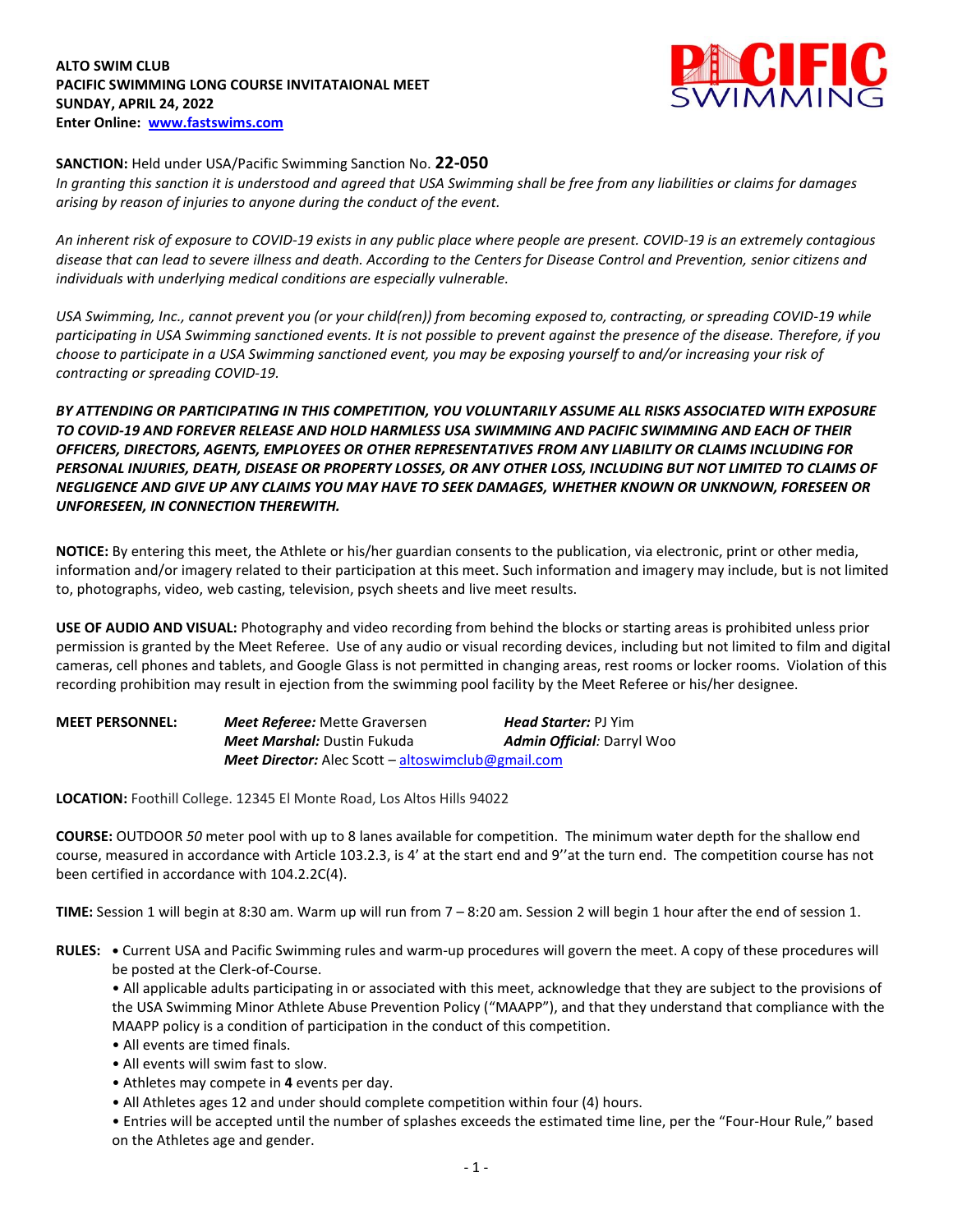## **ALTO SWIM CLUB PACIFIC SWIMMING LONG COURSE INVITATAIONAL MEET SUNDAY, APRIL 24, 2022 Enter Online: [www.fastswims.com](http://www.fastswims.com/)**



## **SANCTION:** Held under USA/Pacific Swimming Sanction No. **22-050**

*In granting this sanction it is understood and agreed that USA Swimming shall be free from any liabilities or claims for damages arising by reason of injuries to anyone during the conduct of the event.* 

*An inherent risk of exposure to COVID-19 exists in any public place where people are present. COVID-19 is an extremely contagious disease that can lead to severe illness and death. According to the Centers for Disease Control and Prevention, senior citizens and individuals with underlying medical conditions are especially vulnerable.*

*USA Swimming, Inc., cannot prevent you (or your child(ren)) from becoming exposed to, contracting, or spreading COVID-19 while participating in USA Swimming sanctioned events. It is not possible to prevent against the presence of the disease. Therefore, if you choose to participate in a USA Swimming sanctioned event, you may be exposing yourself to and/or increasing your risk of contracting or spreading COVID-19.*

*BY ATTENDING OR PARTICIPATING IN THIS COMPETITION, YOU VOLUNTARILY ASSUME ALL RISKS ASSOCIATED WITH EXPOSURE TO COVID-19 AND FOREVER RELEASE AND HOLD HARMLESS USA SWIMMING AND PACIFIC SWIMMING AND EACH OF THEIR OFFICERS, DIRECTORS, AGENTS, EMPLOYEES OR OTHER REPRESENTATIVES FROM ANY LIABILITY OR CLAIMS INCLUDING FOR PERSONAL INJURIES, DEATH, DISEASE OR PROPERTY LOSSES, OR ANY OTHER LOSS, INCLUDING BUT NOT LIMITED TO CLAIMS OF NEGLIGENCE AND GIVE UP ANY CLAIMS YOU MAY HAVE TO SEEK DAMAGES, WHETHER KNOWN OR UNKNOWN, FORESEEN OR UNFORESEEN, IN CONNECTION THEREWITH.*

**NOTICE:** By entering this meet, the Athlete or his/her guardian consents to the publication, via electronic, print or other media, information and/or imagery related to their participation at this meet. Such information and imagery may include, but is not limited to, photographs, video, web casting, television, psych sheets and live meet results.

**USE OF AUDIO AND VISUAL:** Photography and video recording from behind the blocks or starting areas is prohibited unless prior permission is granted by the Meet Referee. Use of any audio or visual recording devices, including but not limited to film and digital cameras, cell phones and tablets, and Google Glass is not permitted in changing areas, rest rooms or locker rooms. Violation of this recording prohibition may result in ejection from the swimming pool facility by the Meet Referee or his/her designee.

| <b>MEET PERSONNEL:</b> | <b>Meet Referee:</b> Mette Graversen                      | <b>Head Starter: PJ Yim</b>        |
|------------------------|-----------------------------------------------------------|------------------------------------|
|                        | <b>Meet Marshal:</b> Dustin Fukuda                        | <b>Admin Official</b> : Darryl Woo |
|                        | <b>Meet Director:</b> Alec Scott – altoswimclub@gmail.com |                                    |

**LOCATION:** Foothill College. 12345 El Monte Road, Los Altos Hills 94022

**COURSE:** OUTDOOR *50* meter pool with up to 8 lanes available for competition. The minimum water depth for the shallow end course, measured in accordance with Article 103.2.3, is 4' at the start end and 9''at the turn end. The competition course has not been certified in accordance with 104.2.2C(4).

**TIME:** Session 1 will begin at 8:30 am. Warm up will run from 7 – 8:20 am. Session 2 will begin 1 hour after the end of session 1.

**RULES: •** Current USA and Pacific Swimming rules and warm-up procedures will govern the meet. A copy of these procedures will be posted at the Clerk-of-Course.

• All applicable adults participating in or associated with this meet, acknowledge that they are subject to the provisions of the USA Swimming Minor Athlete Abuse Prevention Policy ("MAAPP"), and that they understand that compliance with the MAAPP policy is a condition of participation in the conduct of this competition.

- All events are timed finals.
- All events will swim fast to slow.
- Athletes may compete in **4** events per day.
- All Athletes ages 12 and under should complete competition within four (4) hours.

• Entries will be accepted until the number of splashes exceeds the estimated time line, per the "Four-Hour Rule," based on the Athletes age and gender.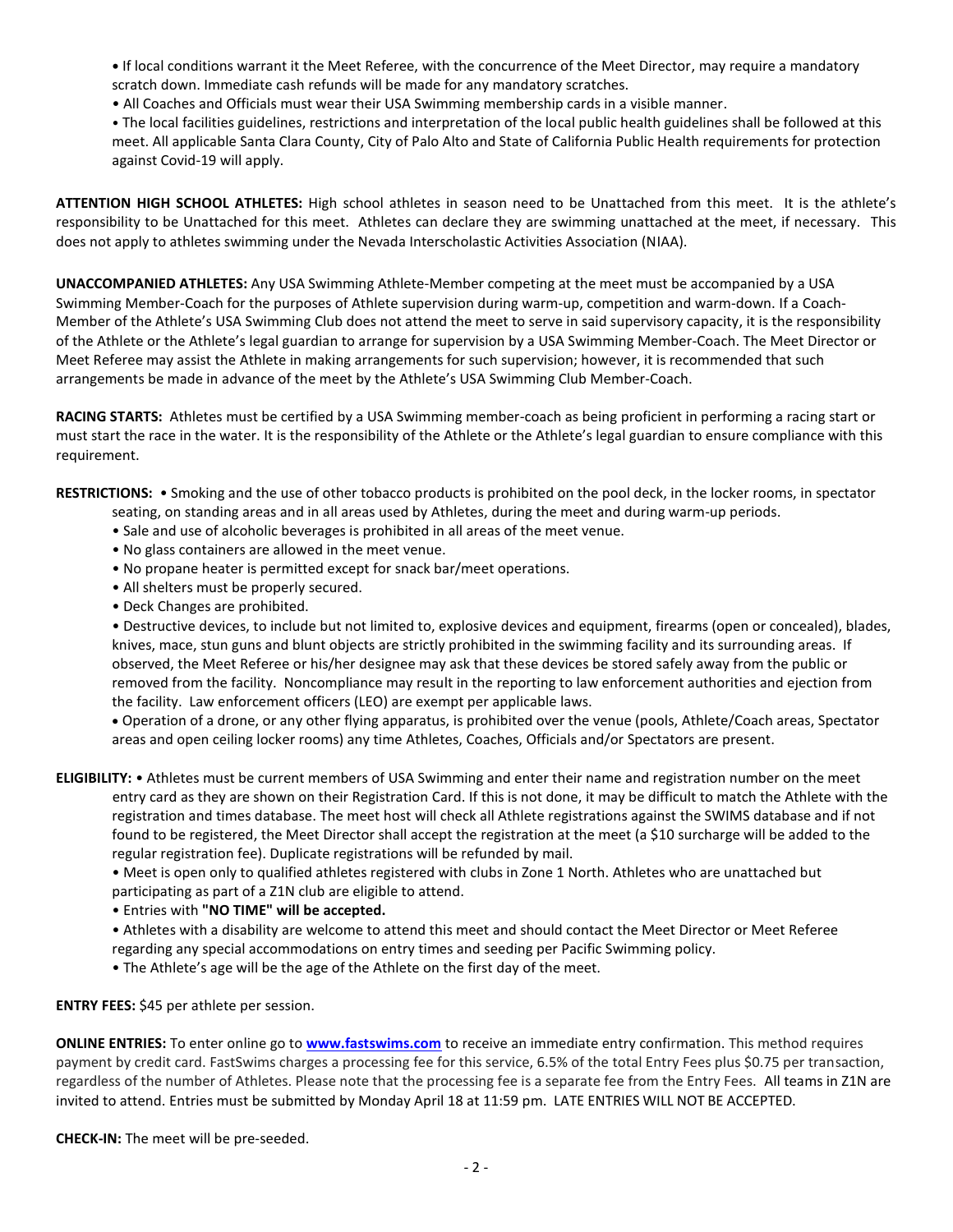**•** If local conditions warrant it the Meet Referee, with the concurrence of the Meet Director, may require a mandatory scratch down. Immediate cash refunds will be made for any mandatory scratches.

• All Coaches and Officials must wear their USA Swimming membership cards in a visible manner.

• The local facilities guidelines, restrictions and interpretation of the local public health guidelines shall be followed at this meet. All applicable Santa Clara County, City of Palo Alto and State of California Public Health requirements for protection against Covid-19 will apply.

**ATTENTION HIGH SCHOOL ATHLETES:** High school athletes in season need to be Unattached from this meet. It is the athlete's responsibility to be Unattached for this meet. Athletes can declare they are swimming unattached at the meet, if necessary. This does not apply to athletes swimming under the Nevada Interscholastic Activities Association (NIAA).

**UNACCOMPANIED ATHLETES:** Any USA Swimming Athlete-Member competing at the meet must be accompanied by a USA Swimming Member-Coach for the purposes of Athlete supervision during warm-up, competition and warm-down. If a Coach-Member of the Athlete's USA Swimming Club does not attend the meet to serve in said supervisory capacity, it is the responsibility of the Athlete or the Athlete's legal guardian to arrange for supervision by a USA Swimming Member-Coach. The Meet Director or Meet Referee may assist the Athlete in making arrangements for such supervision; however, it is recommended that such arrangements be made in advance of the meet by the Athlete's USA Swimming Club Member-Coach.

**RACING STARTS:** Athletes must be certified by a USA Swimming member-coach as being proficient in performing a racing start or must start the race in the water. It is the responsibility of the Athlete or the Athlete's legal guardian to ensure compliance with this requirement.

**RESTRICTIONS:** • Smoking and the use of other tobacco products is prohibited on the pool deck, in the locker rooms, in spectator

- seating, on standing areas and in all areas used by Athletes, during the meet and during warm-up periods.
- Sale and use of alcoholic beverages is prohibited in all areas of the meet venue.
- No glass containers are allowed in the meet venue.
- No propane heater is permitted except for snack bar/meet operations.
- All shelters must be properly secured.
- Deck Changes are prohibited.

• Destructive devices, to include but not limited to, explosive devices and equipment, firearms (open or concealed), blades, knives, mace, stun guns and blunt objects are strictly prohibited in the swimming facility and its surrounding areas. If observed, the Meet Referee or his/her designee may ask that these devices be stored safely away from the public or removed from the facility. Noncompliance may result in the reporting to law enforcement authorities and ejection from the facility. Law enforcement officers (LEO) are exempt per applicable laws.

 Operation of a drone, or any other flying apparatus, is prohibited over the venue (pools, Athlete/Coach areas, Spectator areas and open ceiling locker rooms) any time Athletes, Coaches, Officials and/or Spectators are present.

**ELIGIBILITY:** • Athletes must be current members of USA Swimming and enter their name and registration number on the meet entry card as they are shown on their Registration Card. If this is not done, it may be difficult to match the Athlete with the registration and times database. The meet host will check all Athlete registrations against the SWIMS database and if not found to be registered, the Meet Director shall accept the registration at the meet (a \$10 surcharge will be added to the regular registration fee). Duplicate registrations will be refunded by mail.

• Meet is open only to qualified athletes registered with clubs in Zone 1 North. Athletes who are unattached but participating as part of a Z1N club are eligible to attend.

- Entries with **"NO TIME" will be accepted.**
- Athletes with a disability are welcome to attend this meet and should contact the Meet Director or Meet Referee regarding any special accommodations on entry times and seeding per Pacific Swimming policy.
- The Athlete's age will be the age of the Athlete on the first day of the meet.

**ENTRY FEES:** \$45 per athlete per session.

**ONLINE ENTRIES:** To enter online go to **[www.fastswims.com](http://www.fastswims.com/)** to receive an immediate entry confirmation. This method requires payment by credit card. FastSwims charges a processing fee for this service, 6.5% of the total Entry Fees plus \$0.75 per transaction, regardless of the number of Athletes. Please note that the processing fee is a separate fee from the Entry Fees. All teams in Z1N are invited to attend. Entries must be submitted by Monday April 18 at 11:59 pm. LATE ENTRIES WILL NOT BE ACCEPTED.

**CHECK-IN:** The meet will be pre-seeded.